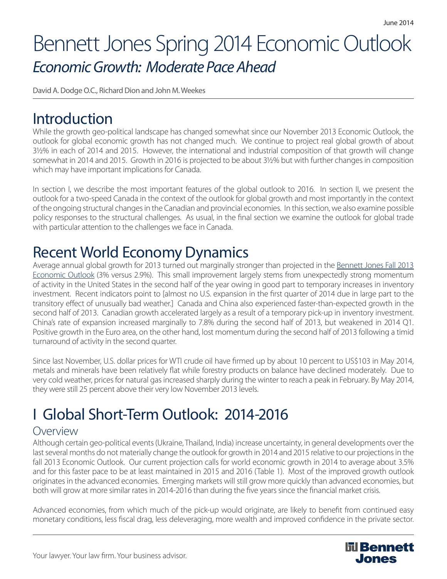# Bennett Jones Spring 2014 Economic Outlook *Economic Growth: Moderate Pace Ahead*

David A. Dodge O.C., Richard Dion and John M. Weekes

# Introduction

While the growth geo-political landscape has changed somewhat since our November 2013 Economic Outlook, the outlook for global economic growth has not changed much. We continue to project real global growth of about 3½% in each of 2014 and 2015. However, the international and industrial composition of that growth will change somewhat in 2014 and 2015. Growth in 2016 is projected to be about 3½% but with further changes in composition which may have important implications for Canada.

In section I, we describe the most important features of the global outlook to 2016. In section II, we present the outlook for a two-speed Canada in the context of the outlook for global growth and most importantly in the context of the ongoing structural changes in the Canadian and provincial economies. In this section, we also examine possible policy responses to the structural challenges. As usual, in the final section we examine the outlook for global trade with particular attention to the challenges we face in Canada.

# Recent World Economy Dynamics

Average annual global growth for 2013 turned out marginally stronger than projected in the Bennett Jones Fall 2013 Economic Outlook (3% versus 2.9%). This small improvement largely stems from unexpectedly strong momentum of activity in the United States in the second half of the year owing in good part to temporary increases in inventory investment. Recent indicators point to [almost no U.S. expansion in the first quarter of 2014 due in large part to the transitory effect of unusually bad weather.] Canada and China also experienced faster-than-expected growth in the second half of 2013. Canadian growth accelerated largely as a result of a temporary pick-up in inventory investment. China's rate of expansion increased marginally to 7.8% during the second half of 2013, but weakened in 2014 Q1. Positive growth in the Euro area, on the other hand, lost momentum during the second half of 2013 following a timid turnaround of activity in the second quarter.

Since last November, U.S. dollar prices for WTI crude oil have firmed up by about 10 percent to US\$103 in May 2014, metals and minerals have been relatively flat while forestry products on balance have declined moderately. Due to very cold weather, prices for natural gas increased sharply during the winter to reach a peak in February. By May 2014, they were still 25 percent above their very low November 2013 levels.

# I Global Short-Term Outlook: 2014-2016

## Overview

Although certain geo-political events (Ukraine, Thailand, India) increase uncertainty, in general developments over the last several months do not materially change the outlook for growth in 2014 and 2015 relative to our projections in the fall 2013 Economic Outlook. Our current projection calls for world economic growth in 2014 to average about 3.5% and for this faster pace to be at least maintained in 2015 and 2016 (Table 1). Most of the improved growth outlook originates in the advanced economies. Emerging markets will still grow more quickly than advanced economies, but both will grow at more similar rates in 2014-2016 than during the five years since the financial market crisis.

Advanced economies, from which much of the pick-up would originate, are likely to benefit from continued easy monetary conditions, less fiscal drag, less deleveraging, more wealth and improved confidence in the private sector.

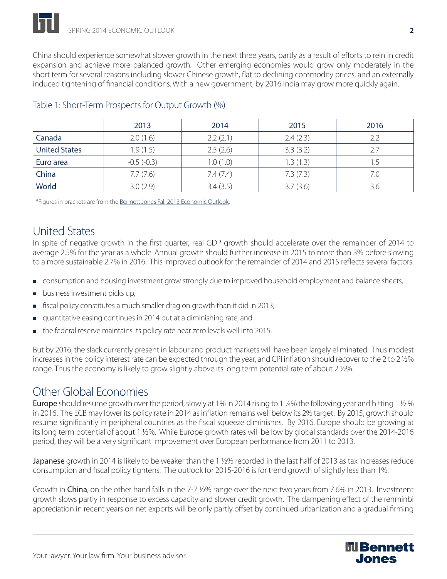China should experience somewhat slower growth in the next three years, partly as a result of efforts to rein in credit expansion and achieve more balanced growth. Other emerging economies would grow only moderately in the short term for several reasons including slower Chinese growth, flat to declining commodity prices, and an externally induced tightening of financial conditions. With a new government, by 2016 India may grow more quickly again.

|                      | 2013         | 2014     | 2015     | 2016 |
|----------------------|--------------|----------|----------|------|
| Canada               | 2.0(1.6)     | 2.2(2.1) | 2.4(2.3) | 2.2  |
| <b>United States</b> | 1.9(1.5)     | 2.5(2.6) | 3.3(3.2) | 2.7  |
| Euro area            | $-0.5(-0.3)$ | 1.0(1.0) | 1.3(1.3) |      |
| China                | 7.7(7.6)     | 7.4(7.4) | 7.3(7.3) | 7.0  |
| World                | 3.0(2.9)     | 3.4(3.5) | 3.7(3.6) | 3.6  |

## Table 1: Short-Term Prospects for Output Growth (%)

\*Figures in brackets are from the Bennett Jones Fall 2013 Economic Outlook.

# United States

In spite of negative growth in the first quarter, real GDP growth should accelerate over the remainder of 2014 to average 2.5% for the year as a whole. Annual growth should further increase in 2015 to more than 3% before slowing to a more sustainable 2.7% in 2016. This improved outlook for the remainder of 2014 and 2015 reflects several factors:

- **CONSUMPTION And housing investment grow strongly due to improved household employment and balance sheets,**
- **business investment picks up,**
- fiscal policy constitutes a much smaller drag on growth than it did in 2013,
- quantitative easing continues in 2014 but at a diminishing rate, and
- the federal reserve maintains its policy rate near zero levels well into 2015.

But by 2016, the slack currently present in labour and product markets will have been largely eliminated. Thus modest increases in the policy interest rate can be expected through the year, and CPI inflation should recover to the 2 to 2 ½% range. Thus the economy is likely to grow slightly above its long term potential rate of about 2 ½%.

# Other Global Economies

Europe should resume growth over the period, slowly at 1% in 2014 rising to 1 ¼% the following year and hitting 1 ½ % in 2016. The ECB may lower its policy rate in 2014 as inflation remains well below its 2% target. By 2015, growth should resume significantly in peripheral countries as the fiscal squeeze diminishes. By 2016, Europe should be growing at its long term potential of about 1 ½%. While Europe growth rates will be low by global standards over the 2014-2016 period, they will be a very significant improvement over European performance from 2011 to 2013.

**Japanese** growth in 2014 is likely to be weaker than the 1 ½% recorded in the last half of 2013 as tax increases reduce consumption and fiscal policy tightens. The outlook for 2015-2016 is for trend growth of slightly less than 1%.

Growth in China, on the other hand falls in the 7-7  $\frac{1}{2}$ % range over the next two years from 7.6% in 2013. Investment growth slows partly in response to excess capacity and slower credit growth. The dampening effect of the renminbi appreciation in recent years on net exports will be only partly offset by continued urbanization and a gradual firming

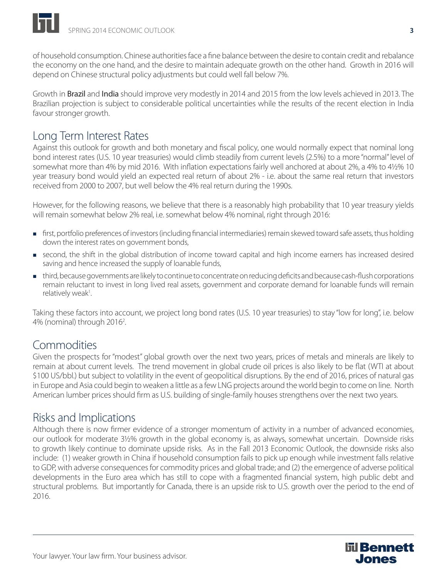of household consumption. Chinese authorities face a fine balance between the desire to contain credit and rebalance the economy on the one hand, and the desire to maintain adequate growth on the other hand. Growth in 2016 will depend on Chinese structural policy adjustments but could well fall below 7%.

Growth in **Brazil** and **India** should improve very modestly in 2014 and 2015 from the low levels achieved in 2013. The Brazilian projection is subject to considerable political uncertainties while the results of the recent election in India favour stronger growth.

# Long Term Interest Rates

Against this outlook for growth and both monetary and fiscal policy, one would normally expect that nominal long bond interest rates (U.S. 10 year treasuries) would climb steadily from current levels (2.5%) to a more "normal" level of somewhat more than 4% by mid 2016. With inflation expectations fairly well anchored at about 2%, a 4% to 4½% 10 year treasury bond would yield an expected real return of about 2% - i.e. about the same real return that investors received from 2000 to 2007, but well below the 4% real return during the 1990s.

However, for the following reasons, we believe that there is a reasonably high probability that 10 year treasury yields will remain somewhat below 2% real, i.e. somewhat below 4% nominal, right through 2016:

- first, portfolio preferences of investors (including financial intermediaries) remain skewed toward safe assets, thus holding down the interest rates on government bonds,
- second, the shift in the global distribution of income toward capital and high income earners has increased desired saving and hence increased the supply of loanable funds,
- third, because governments are likely to continue to concentrate on reducing deficits and because cash-flush corporations remain reluctant to invest in long lived real assets, government and corporate demand for loanable funds will remain relatively weak<sup>1</sup>. .

Taking these factors into account, we project long bond rates (U.S. 10 year treasuries) to stay "low for long", i.e. below 4% (nominal) through 2016<sup>2</sup>.

## Commodities

Given the prospects for "modest" global growth over the next two years, prices of metals and minerals are likely to remain at about current levels. The trend movement in global crude oil prices is also likely to be flat (WTI at about \$100 US/bbl.) but subject to volatility in the event of geopolitical disruptions. By the end of 2016, prices of natural gas in Europe and Asia could begin to weaken a little as a few LNG projects around the world begin to come on line. North American lumber prices should firm as U.S. building of single-family houses strengthens over the next two years.

## Risks and Implications

Although there is now firmer evidence of a stronger momentum of activity in a number of advanced economies, our outlook for moderate 3½% growth in the global economy is, as always, somewhat uncertain. Downside risks to growth likely continue to dominate upside risks. As in the Fall 2013 Economic Outlook, the downside risks also include: (1) weaker growth in China if household consumption fails to pick up enough while investment falls relative to GDP, with adverse consequences for commodity prices and global trade; and (2) the emergence of adverse political developments in the Euro area which has still to cope with a fragmented financial system, high public debt and structural problems. But importantly for Canada, there is an upside risk to U.S. growth over the period to the end of 2016.

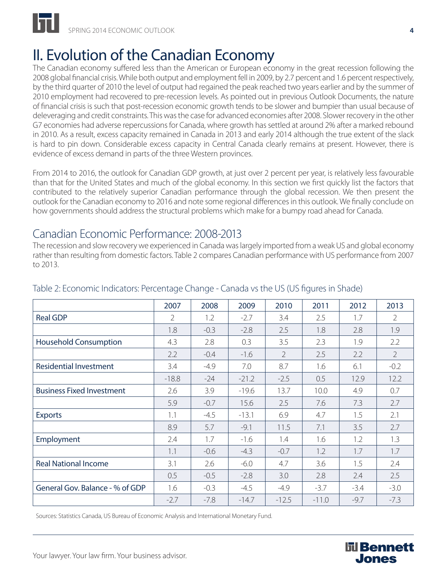

# II. Evolution of the Canadian Economy

The Canadian economy suffered less than the American or European economy in the great recession following the 2008 global financial crisis. While both output and employment fell in 2009, by 2.7 percent and 1.6 percent respectively, by the third quarter of 2010 the level of output had regained the peak reached two years earlier and by the summer of 2010 employment had recovered to pre-recession levels. As pointed out in previous Outlook Documents, the nature of financial crisis is such that post-recession economic growth tends to be slower and bumpier than usual because of deleveraging and credit constraints. This was the case for advanced economies after 2008. Slower recovery in the other G7 economies had adverse repercussions for Canada, where growth has settled at around 2% after a marked rebound in 2010. As a result, excess capacity remained in Canada in 2013 and early 2014 although the true extent of the slack is hard to pin down. Considerable excess capacity in Central Canada clearly remains at present. However, there is evidence of excess demand in parts of the three Western provinces.

From 2014 to 2016, the outlook for Canadian GDP growth, at just over 2 percent per year, is relatively less favourable than that for the United States and much of the global economy. In this section we first quickly list the factors that contributed to the relatively superior Canadian performance through the global recession. We then present the outlook for the Canadian economy to 2016 and note some regional differences in this outlook. We finally conclude on how governments should address the structural problems which make for a bumpy road ahead for Canada.

## Canadian Economic Performance: 2008-2013

The recession and slow recovery we experienced in Canada was largely imported from a weak US and global economy rather than resulting from domestic factors. Table 2 compares Canadian performance with US performance from 2007 to 2013.

|                                  | 2007    | 2008   | 2009    | 2010           | 2011    | 2012   | 2013           |
|----------------------------------|---------|--------|---------|----------------|---------|--------|----------------|
| <b>Real GDP</b>                  | 2       | 1.2    | $-2.7$  | 3.4            | 2.5     | 1.7    | $\overline{2}$ |
|                                  | 1.8     | $-0.3$ | $-2.8$  | 2.5            | 1.8     | 2.8    | 1.9            |
| <b>Household Consumption</b>     | 4.3     | 2.8    | 0.3     | 3.5            | 2.3     | 1.9    | 2.2            |
|                                  | 2.2     | $-0.4$ | $-1.6$  | $\overline{2}$ | 2.5     | 2.2    | $\overline{2}$ |
| <b>Residential Investment</b>    | 3.4     | $-4.9$ | 7.0     | 8.7            | 1.6     | 6.1    | $-0.2$         |
|                                  | $-18.8$ | $-24$  | $-21.2$ | $-2.5$         | 0.5     | 12.9   | 12.2           |
| <b>Business Fixed Investment</b> | 2.6     | 3.9    | $-19.6$ | 13.7           | 10.0    | 4.9    | 0.7            |
|                                  | 5.9     | $-0.7$ | 15.6    | 2.5            | 7.6     | 7.3    | 2.7            |
| <b>Exports</b>                   | 1.1     | $-4.5$ | $-13.1$ | 6.9            | 4.7     | 1.5    | 2.1            |
|                                  | 8.9     | 5.7    | $-9.1$  | 11.5           | 7.1     | 3.5    | 2.7            |
| <b>Employment</b>                | 2.4     | 1.7    | $-1.6$  | 1.4            | 1.6     | 1.2    | 1.3            |
|                                  | 1.1     | $-0.6$ | $-4.3$  | $-0.7$         | 1.2     | 1.7    | 1.7            |
| <b>Real National Income</b>      | 3.1     | 2.6    | $-6.0$  | 4.7            | 3.6     | 1.5    | 2.4            |
|                                  | 0.5     | $-0.5$ | $-2.8$  | 3.0            | 2.8     | 2.4    | 2.5            |
| General Gov. Balance - % of GDP  | 1.6     | $-0.3$ | $-4.5$  | $-4.9$         | $-3.7$  | $-3.4$ | $-3.0$         |
|                                  | $-2.7$  | $-7.8$ | $-14.7$ | $-12.5$        | $-11.0$ | $-9.7$ | $-7.3$         |

## Table 2: Economic Indicators: Percentage Change - Canada vs the US (US figures in Shade)

Sources: Statistics Canada, US Bureau of Economic Analysis and International Monetary Fund.



Your lawyer. Your law firm. Your business advisor.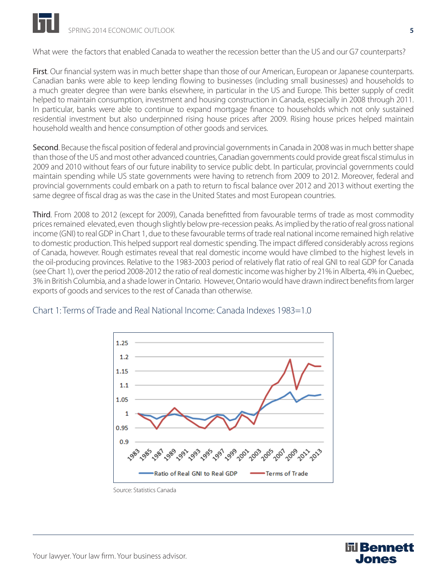

What were the factors that enabled Canada to weather the recession better than the US and our G7 counterparts?

First. Our financial system was in much better shape than those of our American, European or Japanese counterparts. Canadian banks were able to keep lending flowing to businesses (including small businesses) and households to a much greater degree than were banks elsewhere, in particular in the US and Europe. This better supply of credit helped to maintain consumption, investment and housing construction in Canada, especially in 2008 through 2011. In particular, banks were able to continue to expand mortgage finance to households which not only sustained residential investment but also underpinned rising house prices after 2009. Rising house prices helped maintain household wealth and hence consumption of other goods and services.

Second. Because the fiscal position of federal and provincial governments in Canada in 2008 was in much better shape than those of the US and most other advanced countries, Canadian governments could provide great fiscal stimulus in 2009 and 2010 without fears of our future inability to service public debt. In particular, provincial governments could maintain spending while US state governments were having to retrench from 2009 to 2012. Moreover, federal and provincial governments could embark on a path to return to fiscal balance over 2012 and 2013 without exerting the same degree of fiscal drag as was the case in the United States and most European countries.

Third. From 2008 to 2012 (except for 2009), Canada benefitted from favourable terms of trade as most commodity prices remained elevated, even though slightly below pre-recession peaks. As implied by the ratio of real gross national income (GNI) to real GDP in Chart 1, due to these favourable terms of trade real national income remained high relative to domestic production. This helped support real domestic spending. The impact differed considerably across regions of Canada, however. Rough estimates reveal that real domestic income would have climbed to the highest levels in the oil-producing provinces. Relative to the 1983-2003 period of relatively flat ratio of real GNI to real GDP for Canada (see Chart 1), over the period 2008-2012 the ratio of real domestic income was higher by 21% in Alberta, 4% in Quebec, 3% in British Columbia, and a shade lower in Ontario. However, Ontario would have drawn indirect benefits from larger exports of goods and services to the rest of Canada than otherwise.



### Chart 1: Terms of Trade and Real National Income: Canada Indexes 1983=1.0



Source: Statistics Canada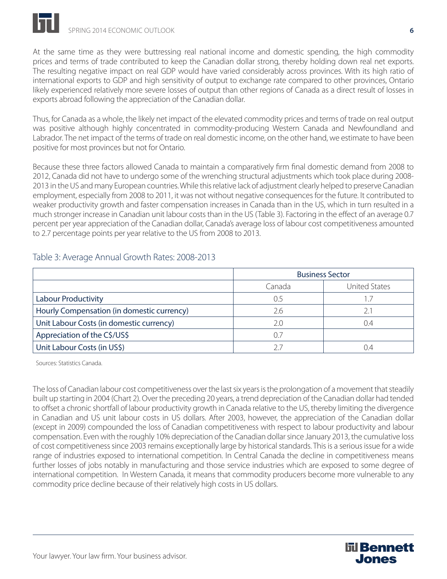

At the same time as they were buttressing real national income and domestic spending, the high commodity prices and terms of trade contributed to keep the Canadian dollar strong, thereby holding down real net exports. The resulting negative impact on real GDP would have varied considerably across provinces. With its high ratio of international exports to GDP and high sensitivity of output to exchange rate compared to other provinces, Ontario likely experienced relatively more severe losses of output than other regions of Canada as a direct result of losses in exports abroad following the appreciation of the Canadian dollar.

Thus, for Canada as a whole, the likely net impact of the elevated commodity prices and terms of trade on real output was positive although highly concentrated in commodity-producing Western Canada and Newfoundland and Labrador. The net impact of the terms of trade on real domestic income, on the other hand, we estimate to have been positive for most provinces but not for Ontario.

Because these three factors allowed Canada to maintain a comparatively firm final domestic demand from 2008 to 2012, Canada did not have to undergo some of the wrenching structural adjustments which took place during 2008- 2013 in the US and many European countries. While this relative lack of adjustment clearly helped to preserve Canadian employment, especially from 2008 to 2011, it was not without negative consequences for the future. It contributed to weaker productivity growth and faster compensation increases in Canada than in the US, which in turn resulted in a much stronger increase in Canadian unit labour costs than in the US (Table 3). Factoring in the effect of an average 0.7 percent per year appreciation of the Canadian dollar, Canada's average loss of labour cost competitiveness amounted to 2.7 percentage points per year relative to the US from 2008 to 2013.

|                                            | <b>Business Sector</b> |                      |  |
|--------------------------------------------|------------------------|----------------------|--|
|                                            | Canada                 | <b>United States</b> |  |
| <b>Labour Productivity</b>                 | 0.5                    | 1.7                  |  |
| Hourly Compensation (in domestic currency) | 2.6                    | 2.1                  |  |
| Unit Labour Costs (in domestic currency)   | 2.0                    | 0.4                  |  |
| Appreciation of the C\$/US\$               | 0.7                    |                      |  |
| Unit Labour Costs (in US\$)                | 27                     |                      |  |

## Table 3: Average Annual Growth Rates: 2008-2013

Sources: Statistics Canada.

The loss of Canadian labour cost competitiveness over the last six years is the prolongation of a movement that steadily built up starting in 2004 (Chart 2). Over the preceding 20 years, a trend depreciation of the Canadian dollar had tended to offset a chronic shortfall of labour productivity growth in Canada relative to the US, thereby limiting the divergence in Canadian and US unit labour costs in US dollars. After 2003, however, the appreciation of the Canadian dollar (except in 2009) compounded the loss of Canadian competitiveness with respect to labour productivity and labour compensation. Even with the roughly 10% depreciation of the Canadian dollar since January 2013, the cumulative loss of cost competitiveness since 2003 remains exceptionally large by historical standards. This is a serious issue for a wide range of industries exposed to international competition. In Central Canada the decline in competitiveness means further losses of jobs notably in manufacturing and those service industries which are exposed to some degree of international competition. In Western Canada, it means that commodity producers become more vulnerable to any commodity price decline because of their relatively high costs in US dollars.

**līl Bennett** Jones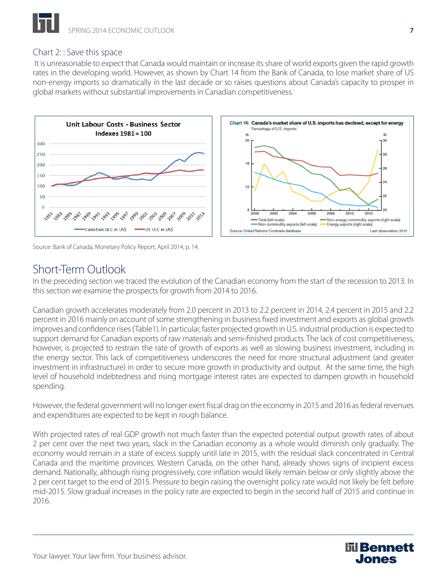## Chart 2: : Save this space

 It is unreasonable to expect that Canada would maintain or increase its share of world exports given the rapid growth rates in the developing world. However, as shown by Chart 14 from the Bank of Canada, to lose market share of US non-energy imports so dramatically in the last decade or so raises questions about Canada's capacity to prosper in global markets without substantial improvements in Canadian competitiveness.



Source: Bank of Canada, Monetary Policy Report, April 2014, p. 14.

# Short-Term Outlook

In the preceding section we traced the evolution of the Canadian economy from the start of the recession to 2013. In this section we examine the prospects for growth from 2014 to 2016.

Canadian growth accelerates moderately from 2.0 percent in 2013 to 2.2 percent in 2014, 2.4 percent in 2015 and 2.2 percent in 2016 mainly on account of some strengthening in business fixed investment and exports as global growth improves and confidence rises (Table1). In particular, faster projected growth in U.S. industrial production is expected to support demand for Canadian exports of raw materials and semi-finished products. The lack of cost competitiveness, however, is projected to restrain the rate of growth of exports as well as slowing business investment, including in the energy sector. This lack of competitiveness underscores the need for more structural adjustment (and greater investment in infrastructure) in order to secure more growth in productivity and output. At the same time, the high level of household indebtedness and rising mortgage interest rates are expected to dampen growth in household spending.

However, the federal government will no longer exert fiscal drag on the economy in 2015 and 2016 as federal revenues and expenditures are expected to be kept in rough balance.

With projected rates of real GDP growth not much faster than the expected potential output growth rates of about 2 per cent over the next two years, slack in the Canadian economy as a whole would diminish only gradually. The economy would remain in a state of excess supply until late in 2015, with the residual slack concentrated in Central Canada and the maritime provinces. Western Canada, on the other hand, already shows signs of incipient excess demand. Nationally, although rising progressively, core inflation would likely remain below or only slightly above the 2 per cent target to the end of 2015. Pressure to begin raising the overnight policy rate would not likely be felt before mid-2015. Slow gradual increases in the policy rate are expected to begin in the second half of 2015 and continue in 2016.

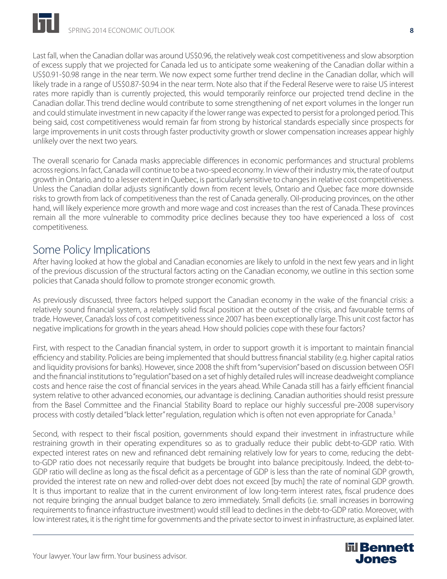Last fall, when the Canadian dollar was around US\$0.96, the relatively weak cost competitiveness and slow absorption of excess supply that we projected for Canada led us to anticipate some weakening of the Canadian dollar within a US\$0.91-\$0.98 range in the near term. We now expect some further trend decline in the Canadian dollar, which will likely trade in a range of US\$0.87-\$0.94 in the near term. Note also that if the Federal Reserve were to raise US interest rates more rapidly than is currently projected, this would temporarily reinforce our projected trend decline in the Canadian dollar. This trend decline would contribute to some strengthening of net export volumes in the longer run and could stimulate investment in new capacity if the lower range was expected to persist for a prolonged period. This being said, cost competitiveness would remain far from strong by historical standards especially since prospects for large improvements in unit costs through faster productivity growth or slower compensation increases appear highly unlikely over the next two years.

The overall scenario for Canada masks appreciable differences in economic performances and structural problems across regions. In fact, Canada will continue to be a two-speed economy. In view of their industry mix, the rate of output growth in Ontario, and to a lesser extent in Quebec, is particularly sensitive to changes in relative cost competitiveness. Unless the Canadian dollar adjusts significantly down from recent levels, Ontario and Quebec face more downside risks to growth from lack of competitiveness than the rest of Canada generally. Oil-producing provinces, on the other hand, will likely experience more growth and more wage and cost increases than the rest of Canada. These provinces remain all the more vulnerable to commodity price declines because they too have experienced a loss of cost competitiveness.

## Some Policy Implications

After having looked at how the global and Canadian economies are likely to unfold in the next few years and in light of the previous discussion of the structural factors acting on the Canadian economy, we outline in this section some policies that Canada should follow to promote stronger economic growth.

As previously discussed, three factors helped support the Canadian economy in the wake of the financial crisis: a relatively sound financial system, a relatively solid fiscal position at the outset of the crisis, and favourable terms of trade. However, Canada's loss of cost competitiveness since 2007 has been exceptionally large. This unit cost factor has negative implications for growth in the years ahead. How should policies cope with these four factors?

First, with respect to the Canadian financial system, in order to support growth it is important to maintain financial efficiency and stability. Policies are being implemented that should buttress financial stability (e.g. higher capital ratios and liquidity provisions for banks). However, since 2008 the shift from "supervision" based on discussion between OSFI and the financial institutions to "regulation" based on a set of highly detailed rules will increase deadweight compliance costs and hence raise the cost of financial services in the years ahead. While Canada still has a fairly efficient financial system relative to other advanced economies, our advantage is declining. Canadian authorities should resist pressure from the Basel Committee and the Financial Stability Board to replace our highly successful pre-2008 supervisory process with costly detailed "black letter" regulation, regulation which is often not even appropriate for Canada.<sup>3</sup>

Second, with respect to their fiscal position, governments should expand their investment in infrastructure while restraining growth in their operating expenditures so as to gradually reduce their public debt-to-GDP ratio. With expected interest rates on new and refinanced debt remaining relatively low for years to come, reducing the debtto-GDP ratio does not necessarily require that budgets be brought into balance precipitously. Indeed, the debt-to-GDP ratio will decline as long as the fiscal deficit as a percentage of GDP is less than the rate of nominal GDP growth, provided the interest rate on new and rolled-over debt does not exceed [by much] the rate of nominal GDP growth. It is thus important to realize that in the current environment of low long-term interest rates, fiscal prudence does not require bringing the annual budget balance to zero immediately. Small deficits (i.e. small increases in borrowing requirements to finance infrastructure investment) would still lead to declines in the debt-to-GDP ratio. Moreover, with low interest rates, it is the right time for governments and the private sector to invest in infrastructure, as explained later.

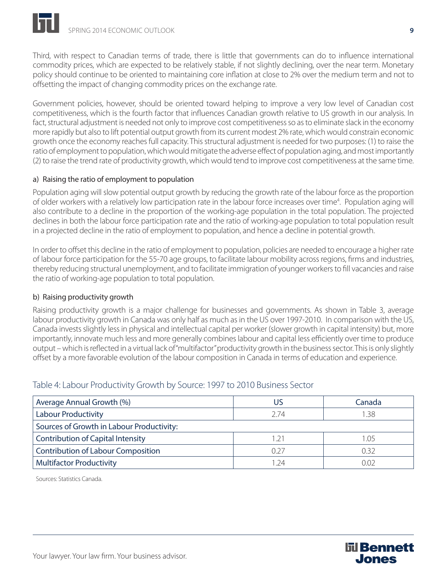Third, with respect to Canadian terms of trade, there is little that governments can do to influence international commodity prices, which are expected to be relatively stable, if not slightly declining, over the near term. Monetary policy should continue to be oriented to maintaining core inflation at close to 2% over the medium term and not to offsetting the impact of changing commodity prices on the exchange rate.

Government policies, however, should be oriented toward helping to improve a very low level of Canadian cost competitiveness, which is the fourth factor that influences Canadian growth relative to US growth in our analysis. In fact, structural adjustment is needed not only to improve cost competitiveness so as to eliminate slack in the economy more rapidly but also to lift potential output growth from its current modest 2% rate, which would constrain economic growth once the economy reaches full capacity. This structural adjustment is needed for two purposes: (1) to raise the ratio of employment to population, which would mitigate the adverse effect of population aging, and most importantly (2) to raise the trend rate of productivity growth, which would tend to improve cost competitiveness at the same time.

## a) Raising the ratio of employment to population

Population aging will slow potential output growth by reducing the growth rate of the labour force as the proportion of older workers with a relatively low participation rate in the labour force increases over time<sup>4</sup>. Population aging will also contribute to a decline in the proportion of the working-age population in the total population. The projected declines in both the labour force participation rate and the ratio of working-age population to total population result in a projected decline in the ratio of employment to population, and hence a decline in potential growth.

In order to offset this decline in the ratio of employment to population, policies are needed to encourage a higher rate of labour force participation for the 55-70 age groups, to facilitate labour mobility across regions, firms and industries, thereby reducing structural unemployment, and to facilitate immigration of younger workers to fill vacancies and raise the ratio of working-age population to total population.

### b) Raising productivity growth

Raising productivity growth is a major challenge for businesses and governments. As shown in Table 3, average labour productivity growth in Canada was only half as much as in the US over 1997-2010. In comparison with the US, Canada invests slightly less in physical and intellectual capital per worker (slower growth in capital intensity) but, more importantly, innovate much less and more generally combines labour and capital less efficiently over time to produce output – which is reflected in a virtual lack of "multifactor" productivity growth in the business sector. This is only slightly offset by a more favorable evolution of the labour composition in Canada in terms of education and experience.

## Table 4: Labour Productivity Growth by Source: 1997 to 2010 Business Sector

| Average Annual Growth (%)                 | US            | Canada |  |  |  |
|-------------------------------------------|---------------|--------|--|--|--|
| <b>Labour Productivity</b>                | 2 74          | 1.38   |  |  |  |
| Sources of Growth in Labour Productivity: |               |        |  |  |  |
| <b>Contribution of Capital Intensity</b>  | $\mathcal{C}$ | 1.05   |  |  |  |
| <b>Contribution of Labour Composition</b> | 0.27          | 0.32   |  |  |  |
| <b>Multifactor Productivity</b>           | - 24          | ገበን    |  |  |  |

Sources: Statistics Canada.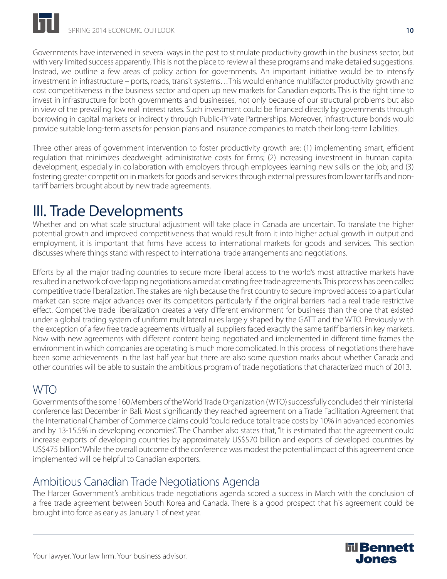Governments have intervened in several ways in the past to stimulate productivity growth in the business sector, but with very limited success apparently. This is not the place to review all these programs and make detailed suggestions. Instead, we outline a few areas of policy action for governments. An important initiative would be to intensify investment in infrastructure – ports, roads, transit systems…This would enhance multifactor productivity growth and cost competitiveness in the business sector and open up new markets for Canadian exports. This is the right time to invest in infrastructure for both governments and businesses, not only because of our structural problems but also in view of the prevailing low real interest rates. Such investment could be financed directly by governments through borrowing in capital markets or indirectly through Public-Private Partnerships. Moreover, infrastructure bonds would provide suitable long-term assets for pension plans and insurance companies to match their long-term liabilities.

Three other areas of government intervention to foster productivity growth are: (1) implementing smart, efficient regulation that minimizes deadweight administrative costs for firms; (2) increasing investment in human capital development, especially in collaboration with employers through employees learning new skills on the job; and (3) fostering greater competition in markets for goods and services through external pressures from lower tariffs and nontariff barriers brought about by new trade agreements.

# III. Trade Developments

Whether and on what scale structural adjustment will take place in Canada are uncertain. To translate the higher potential growth and improved competitiveness that would result from it into higher actual growth in output and employment, it is important that firms have access to international markets for goods and services. This section discusses where things stand with respect to international trade arrangements and negotiations.

Efforts by all the major trading countries to secure more liberal access to the world's most attractive markets have resulted in a network of overlapping negotiations aimed at creating free trade agreements. This process has been called competitive trade liberalization. The stakes are high because the first country to secure improved access to a particular market can score major advances over its competitors particularly if the original barriers had a real trade restrictive effect. Competitive trade liberalization creates a very different environment for business than the one that existed under a global trading system of uniform multilateral rules largely shaped by the GATT and the WTO. Previously with the exception of a few free trade agreements virtually all suppliers faced exactly the same tariff barriers in key markets. Now with new agreements with different content being negotiated and implemented in different time frames the environment in which companies are operating is much more complicated. In this process of negotiations there have been some achievements in the last half year but there are also some question marks about whether Canada and other countries will be able to sustain the ambitious program of trade negotiations that characterized much of 2013.

# WTO

Governments of the some 160 Members of the World Trade Organization (WTO) successfully concluded their ministerial conference last December in Bali. Most significantly they reached agreement on a Trade Facilitation Agreement that the International Chamber of Commerce claims could "could reduce total trade costs by 10% in advanced economies and by 13-15.5% in developing economies". The Chamber also states that, "It is estimated that the agreement could increase exports of developing countries by approximately US\$570 billion and exports of developed countries by US\$475 billion." While the overall outcome of the conference was modest the potential impact of this agreement once implemented will be helpful to Canadian exporters.

# Ambitious Canadian Trade Negotiations Agenda

The Harper Government's ambitious trade negotiations agenda scored a success in March with the conclusion of a free trade agreement between South Korea and Canada. There is a good prospect that his agreement could be brought into force as early as January 1 of next year.

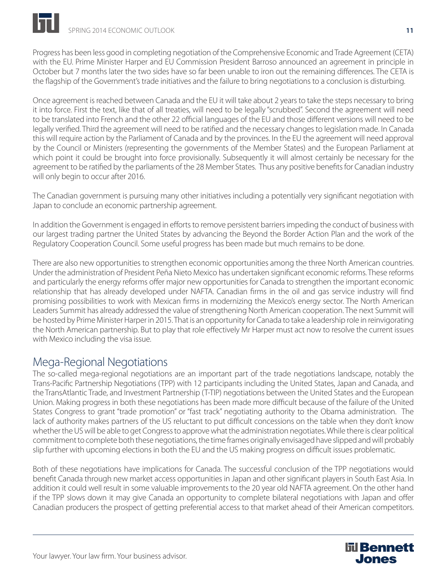Progress has been less good in completing negotiation of the Comprehensive Economic and Trade Agreement (CETA) with the EU. Prime Minister Harper and EU Commission President Barroso announced an agreement in principle in October but 7 months later the two sides have so far been unable to iron out the remaining differences. The CETA is the flagship of the Government's trade initiatives and the failure to bring negotiations to a conclusion is disturbing.

Once agreement is reached between Canada and the EU it will take about 2 years to take the steps necessary to bring it into force. First the text, like that of all treaties, will need to be legally "scrubbed". Second the agreement will need to be translated into French and the other 22 official languages of the EU and those different versions will need to be legally verified. Third the agreement will need to be ratified and the necessary changes to legislation made. In Canada this will require action by the Parliament of Canada and by the provinces. In the EU the agreement will need approval by the Council or Ministers (representing the governments of the Member States) and the European Parliament at which point it could be brought into force provisionally. Subsequently it will almost certainly be necessary for the agreement to be ratified by the parliaments of the 28 Member States. Thus any positive benefits for Canadian industry will only begin to occur after 2016.

The Canadian government is pursuing many other initiatives including a potentially very significant negotiation with Japan to conclude an economic partnership agreement.

In addition the Government is engaged in efforts to remove persistent barriers impeding the conduct of business with our largest trading partner the United States by advancing the Beyond the Border Action Plan and the work of the Regulatory Cooperation Council. Some useful progress has been made but much remains to be done.

There are also new opportunities to strengthen economic opportunities among the three North American countries. Under the administration of President Peña Nieto Mexico has undertaken significant economic reforms. These reforms and particularly the energy reforms offer major new opportunities for Canada to strengthen the important economic relationship that has already developed under NAFTA. Canadian firms in the oil and gas service industry will find promising possibilities to work with Mexican firms in modernizing the Mexico's energy sector. The North American Leaders Summit has already addressed the value of strengthening North American cooperation. The next Summit will be hosted by Prime Minister Harper in 2015. That is an opportunity for Canada to take a leadership role in reinvigorating the North American partnership. But to play that role effectively Mr Harper must act now to resolve the current issues with Mexico including the visa issue.

# Mega-Regional Negotiations

The so-called mega-regional negotiations are an important part of the trade negotiations landscape, notably the Trans-Pacific Partnership Negotiations (TPP) with 12 participants including the United States, Japan and Canada, and the TransAtlantic Trade, and Investment Partnership (T-TIP) negotiations between the United States and the European Union. Making progress in both these negotiations has been made more difficult because of the failure of the United States Congress to grant "trade promotion" or "fast track" negotiating authority to the Obama administration. The lack of authority makes partners of the US reluctant to put difficult concessions on the table when they don't know whether the US will be able to get Congress to approve what the administration negotiates. While there is clear political commitment to complete both these negotiations, the time frames originally envisaged have slipped and will probably slip further with upcoming elections in both the EU and the US making progress on difficult issues problematic.

Both of these negotiations have implications for Canada. The successful conclusion of the TPP negotiations would benefit Canada through new market access opportunities in Japan and other significant players in South East Asia. In addition it could well result in some valuable improvements to the 20 year old NAFTA agreement. On the other hand if the TPP slows down it may give Canada an opportunity to complete bilateral negotiations with Japan and offer Canadian producers the prospect of getting preferential access to that market ahead of their American competitors.